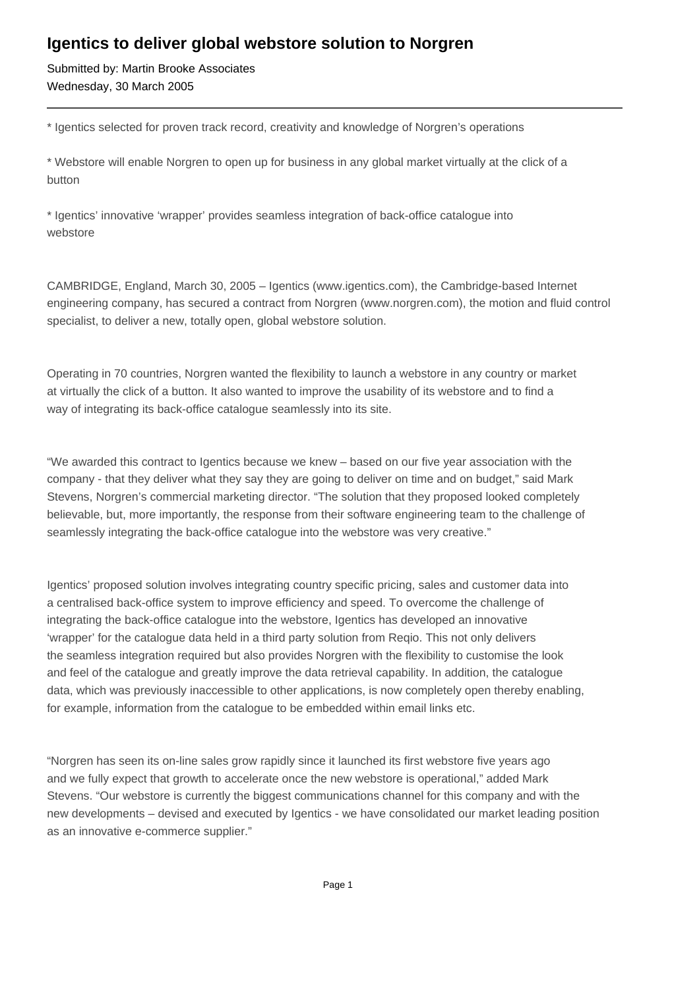## **Igentics to deliver global webstore solution to Norgren**

Submitted by: Martin Brooke Associates Wednesday, 30 March 2005

\* Igentics selected for proven track record, creativity and knowledge of Norgren's operations

\* Webstore will enable Norgren to open up for business in any global market virtually at the click of a button

\* Igentics' innovative 'wrapper' provides seamless integration of back-office catalogue into webstore

CAMBRIDGE, England, March 30, 2005 – Igentics (www.igentics.com), the Cambridge-based Internet engineering company, has secured a contract from Norgren (www.norgren.com), the motion and fluid control specialist, to deliver a new, totally open, global webstore solution.

Operating in 70 countries, Norgren wanted the flexibility to launch a webstore in any country or market at virtually the click of a button. It also wanted to improve the usability of its webstore and to find a way of integrating its back-office catalogue seamlessly into its site.

"We awarded this contract to Igentics because we knew – based on our five year association with the company - that they deliver what they say they are going to deliver on time and on budget," said Mark Stevens, Norgren's commercial marketing director. "The solution that they proposed looked completely believable, but, more importantly, the response from their software engineering team to the challenge of seamlessly integrating the back-office catalogue into the webstore was very creative."

Igentics' proposed solution involves integrating country specific pricing, sales and customer data into a centralised back-office system to improve efficiency and speed. To overcome the challenge of integrating the back-office catalogue into the webstore, Igentics has developed an innovative 'wrapper' for the catalogue data held in a third party solution from Reqio. This not only delivers the seamless integration required but also provides Norgren with the flexibility to customise the look and feel of the catalogue and greatly improve the data retrieval capability. In addition, the catalogue data, which was previously inaccessible to other applications, is now completely open thereby enabling, for example, information from the catalogue to be embedded within email links etc.

"Norgren has seen its on-line sales grow rapidly since it launched its first webstore five years ago and we fully expect that growth to accelerate once the new webstore is operational," added Mark Stevens. "Our webstore is currently the biggest communications channel for this company and with the new developments – devised and executed by Igentics - we have consolidated our market leading position as an innovative e-commerce supplier."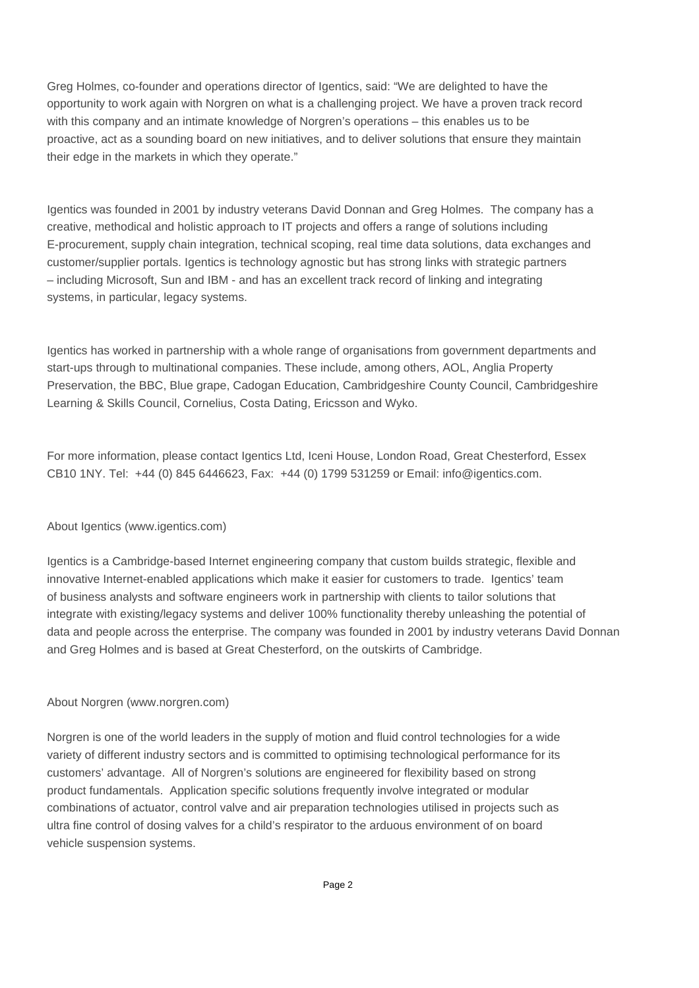Greg Holmes, co-founder and operations director of Igentics, said: "We are delighted to have the opportunity to work again with Norgren on what is a challenging project. We have a proven track record with this company and an intimate knowledge of Norgren's operations – this enables us to be proactive, act as a sounding board on new initiatives, and to deliver solutions that ensure they maintain their edge in the markets in which they operate."

Igentics was founded in 2001 by industry veterans David Donnan and Greg Holmes. The company has a creative, methodical and holistic approach to IT projects and offers a range of solutions including E-procurement, supply chain integration, technical scoping, real time data solutions, data exchanges and customer/supplier portals. Igentics is technology agnostic but has strong links with strategic partners – including Microsoft, Sun and IBM - and has an excellent track record of linking and integrating systems, in particular, legacy systems.

Igentics has worked in partnership with a whole range of organisations from government departments and start-ups through to multinational companies. These include, among others, AOL, Anglia Property Preservation, the BBC, Blue grape, Cadogan Education, Cambridgeshire County Council, Cambridgeshire Learning & Skills Council, Cornelius, Costa Dating, Ericsson and Wyko.

For more information, please contact Igentics Ltd, Iceni House, London Road, Great Chesterford, Essex CB10 1NY. Tel: +44 (0) 845 6446623, Fax: +44 (0) 1799 531259 or Email: info@igentics.com.

## About Igentics (www.igentics.com)

Igentics is a Cambridge-based Internet engineering company that custom builds strategic, flexible and innovative Internet-enabled applications which make it easier for customers to trade. Igentics' team of business analysts and software engineers work in partnership with clients to tailor solutions that integrate with existing/legacy systems and deliver 100% functionality thereby unleashing the potential of data and people across the enterprise. The company was founded in 2001 by industry veterans David Donnan and Greg Holmes and is based at Great Chesterford, on the outskirts of Cambridge.

## About Norgren (www.norgren.com)

Norgren is one of the world leaders in the supply of motion and fluid control technologies for a wide variety of different industry sectors and is committed to optimising technological performance for its customers' advantage. All of Norgren's solutions are engineered for flexibility based on strong product fundamentals. Application specific solutions frequently involve integrated or modular combinations of actuator, control valve and air preparation technologies utilised in projects such as ultra fine control of dosing valves for a child's respirator to the arduous environment of on board vehicle suspension systems.